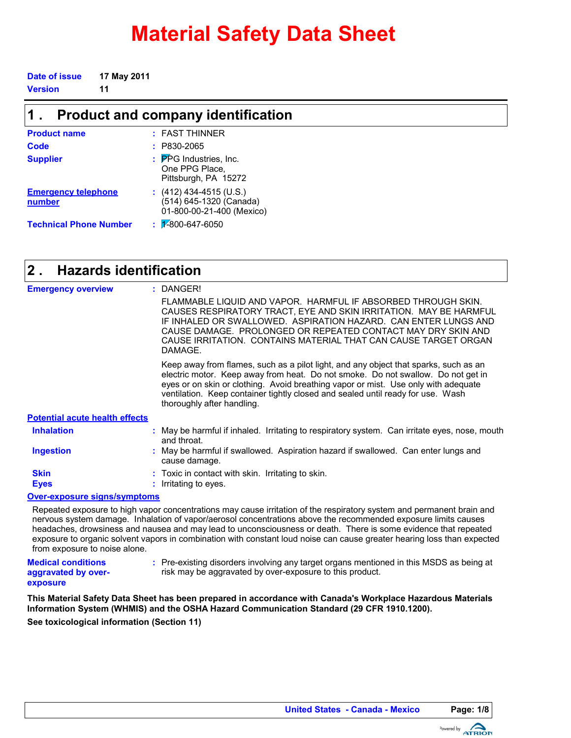# **Material Safety Data Sheet**

| Date of issue | 17 May 2011 |
|---------------|-------------|
| Version       | -11         |

| $\mathbf 1$ .                        | <b>Product and company identification</b>                                       |  |  |  |
|--------------------------------------|---------------------------------------------------------------------------------|--|--|--|
| <b>Product name</b>                  | : FAST THINNER                                                                  |  |  |  |
| Code                                 | $: P830-2065$                                                                   |  |  |  |
| <b>Supplier</b>                      | : PPG Industries, Inc.<br>One PPG Place,<br>Pittsburgh, PA 15272                |  |  |  |
| <b>Emergency telephone</b><br>number | $(412)$ 434-4515 (U.S.)<br>(514) 645-1320 (Canada)<br>01-800-00-21-400 (Mexico) |  |  |  |
| <b>Technical Phone Number</b>        | $\frac{1}{2}$ 2800-647-6050                                                     |  |  |  |

#### **Hazards identification 2 .**

| <b>Emergency overview</b>             | : DANGER!                                                                                                                                                                                                                                                                                                                                                                       |
|---------------------------------------|---------------------------------------------------------------------------------------------------------------------------------------------------------------------------------------------------------------------------------------------------------------------------------------------------------------------------------------------------------------------------------|
|                                       | FLAMMABLE LIQUID AND VAPOR. HARMFUL IF ABSORBED THROUGH SKIN.<br>CAUSES RESPIRATORY TRACT, EYE AND SKIN IRRITATION. MAY BE HARMFUL<br>IF INHALED OR SWALLOWED. ASPIRATION HAZARD. CAN ENTER LUNGS AND<br>CAUSE DAMAGE. PROLONGED OR REPEATED CONTACT MAY DRY SKIN AND<br>CAUSE IRRITATION. CONTAINS MATERIAL THAT CAN CAUSE TARGET ORGAN<br>DAMAGE.                             |
|                                       | Keep away from flames, such as a pilot light, and any object that sparks, such as an<br>electric motor. Keep away from heat. Do not smoke. Do not swallow. Do not get in<br>eyes or on skin or clothing. Avoid breathing vapor or mist. Use only with adequate<br>ventilation. Keep container tightly closed and sealed until ready for use. Wash<br>thoroughly after handling. |
| <b>Potential acute health effects</b> |                                                                                                                                                                                                                                                                                                                                                                                 |
| <b>Inhalation</b>                     | : May be harmful if inhaled. Irritating to respiratory system. Can irritate eyes, nose, mouth<br>and throat.                                                                                                                                                                                                                                                                    |
| <b>Ingestion</b>                      | : May be harmful if swallowed. Aspiration hazard if swallowed. Can enter lungs and<br>cause damage.                                                                                                                                                                                                                                                                             |
| <b>Skin</b>                           | : Toxic in contact with skin. Irritating to skin.                                                                                                                                                                                                                                                                                                                               |
| <b>Eyes</b>                           | : Irritating to eyes.                                                                                                                                                                                                                                                                                                                                                           |
| Over-exposure signs/symptoms          |                                                                                                                                                                                                                                                                                                                                                                                 |

Repeated exposure to high vapor concentrations may cause irritation of the respiratory system and permanent brain and nervous system damage. Inhalation of vapor/aerosol concentrations above the recommended exposure limits causes headaches, drowsiness and nausea and may lead to unconsciousness or death. There is some evidence that repeated exposure to organic solvent vapors in combination with constant loud noise can cause greater hearing loss than expected from exposure to noise alone.

**Medical conditions aggravated by overexposure**

Pre-existing disorders involving any target organs mentioned in this MSDS as being at **:** risk may be aggravated by over-exposure to this product.

**This Material Safety Data Sheet has been prepared in accordance with Canada's Workplace Hazardous Materials Information System (WHMIS) and the OSHA Hazard Communication Standard (29 CFR 1910.1200).**

**See toxicological information (Section 11)**

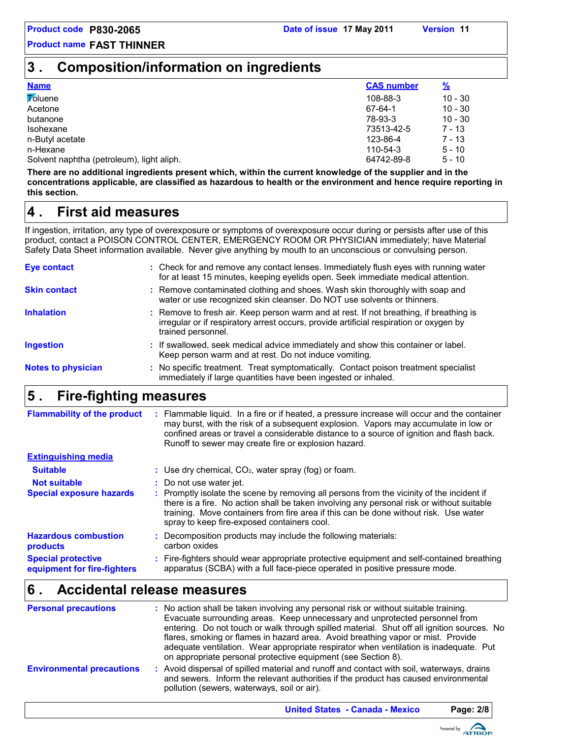## **3 . Composition/information on ingredients**

| <b>Name</b>                               | <b>CAS number</b> | <u>%</u>  |
|-------------------------------------------|-------------------|-----------|
| <b>Toluene</b>                            | 108-88-3          | $10 - 30$ |
| Acetone                                   | 67-64-1           | $10 - 30$ |
| butanone                                  | 78-93-3           | $10 - 30$ |
| Isohexane                                 | 73513-42-5        | $7 - 13$  |
| n-Butyl acetate                           | 123-86-4          | 7 - 13    |
| n-Hexane                                  | 110-54-3          | $5 - 10$  |
| Solvent naphtha (petroleum), light aliph. | 64742-89-8        | $5 - 10$  |
|                                           |                   |           |

**There are no additional ingredients present which, within the current knowledge of the supplier and in the concentrations applicable, are classified as hazardous to health or the environment and hence require reporting in this section.**

## **First aid measures 4 .**

If ingestion, irritation, any type of overexposure or symptoms of overexposure occur during or persists after use of this product, contact a POISON CONTROL CENTER, EMERGENCY ROOM OR PHYSICIAN immediately; have Material Safety Data Sheet information available. Never give anything by mouth to an unconscious or convulsing person.

| Eye contact<br>: Check for and remove any contact lenses. Immediately flush eyes with running water<br>for at least 15 minutes, keeping eyelids open. Seek immediate medical attention.<br>: Remove contaminated clothing and shoes. Wash skin thoroughly with soap and<br><b>Skin contact</b><br>water or use recognized skin cleanser. Do NOT use solvents or thinners.<br><b>Inhalation</b><br>: Remove to fresh air. Keep person warm and at rest. If not breathing, if breathing is<br>irregular or if respiratory arrest occurs, provide artificial respiration or oxygen by<br>trained personnel.<br>: If swallowed, seek medical advice immediately and show this container or label.<br><b>Ingestion</b><br>Keep person warm and at rest. Do not induce vomiting.<br>: No specific treatment. Treat symptomatically. Contact poison treatment specialist<br><b>Notes to physician</b><br>immediately if large quantities have been ingested or inhaled. | Eive finhting meanurea |  |
|------------------------------------------------------------------------------------------------------------------------------------------------------------------------------------------------------------------------------------------------------------------------------------------------------------------------------------------------------------------------------------------------------------------------------------------------------------------------------------------------------------------------------------------------------------------------------------------------------------------------------------------------------------------------------------------------------------------------------------------------------------------------------------------------------------------------------------------------------------------------------------------------------------------------------------------------------------------|------------------------|--|
|                                                                                                                                                                                                                                                                                                                                                                                                                                                                                                                                                                                                                                                                                                                                                                                                                                                                                                                                                                  |                        |  |
|                                                                                                                                                                                                                                                                                                                                                                                                                                                                                                                                                                                                                                                                                                                                                                                                                                                                                                                                                                  |                        |  |
|                                                                                                                                                                                                                                                                                                                                                                                                                                                                                                                                                                                                                                                                                                                                                                                                                                                                                                                                                                  |                        |  |
|                                                                                                                                                                                                                                                                                                                                                                                                                                                                                                                                                                                                                                                                                                                                                                                                                                                                                                                                                                  |                        |  |
|                                                                                                                                                                                                                                                                                                                                                                                                                                                                                                                                                                                                                                                                                                                                                                                                                                                                                                                                                                  |                        |  |

#### **Fire-fighting measures 5 .**

| <b>Flammability of the product</b>                       | Flammable liquid. In a fire or if heated, a pressure increase will occur and the container<br>may burst, with the risk of a subsequent explosion. Vapors may accumulate in low or<br>confined areas or travel a considerable distance to a source of ignition and flash back.<br>Runoff to sewer may create fire or explosion hazard. |
|----------------------------------------------------------|---------------------------------------------------------------------------------------------------------------------------------------------------------------------------------------------------------------------------------------------------------------------------------------------------------------------------------------|
| <b>Extinguishing media</b>                               |                                                                                                                                                                                                                                                                                                                                       |
| <b>Suitable</b>                                          | : Use dry chemical, $CO2$ , water spray (fog) or foam.                                                                                                                                                                                                                                                                                |
| <b>Not suitable</b>                                      | : Do not use water jet.                                                                                                                                                                                                                                                                                                               |
| <b>Special exposure hazards</b>                          | : Promptly isolate the scene by removing all persons from the vicinity of the incident if<br>there is a fire. No action shall be taken involving any personal risk or without suitable<br>training. Move containers from fire area if this can be done without risk. Use water<br>spray to keep fire-exposed containers cool.         |
| <b>Hazardous combustion</b><br>products                  | : Decomposition products may include the following materials:<br>carbon oxides                                                                                                                                                                                                                                                        |
| <b>Special protective</b><br>equipment for fire-fighters | : Fire-fighters should wear appropriate protective equipment and self-contained breathing<br>apparatus (SCBA) with a full face-piece operated in positive pressure mode.                                                                                                                                                              |

## **Accidental release measures 6 .**

| <b>Personal precautions</b>      | : No action shall be taken involving any personal risk or without suitable training.<br>Evacuate surrounding areas. Keep unnecessary and unprotected personnel from<br>entering. Do not touch or walk through spilled material. Shut off all ignition sources. No<br>flares, smoking or flames in hazard area. Avoid breathing vapor or mist. Provide<br>adequate ventilation. Wear appropriate respirator when ventilation is inadequate. Put<br>on appropriate personal protective equipment (see Section 8). |
|----------------------------------|-----------------------------------------------------------------------------------------------------------------------------------------------------------------------------------------------------------------------------------------------------------------------------------------------------------------------------------------------------------------------------------------------------------------------------------------------------------------------------------------------------------------|
| <b>Environmental precautions</b> | : Avoid dispersal of spilled material and runoff and contact with soil, waterways, drains<br>and sewers. Inform the relevant authorities if the product has caused environmental<br>pollution (sewers, waterways, soil or air).                                                                                                                                                                                                                                                                                 |

**United States - Canada - Mexico Page: 2/8**

Powered by **ATRIOD**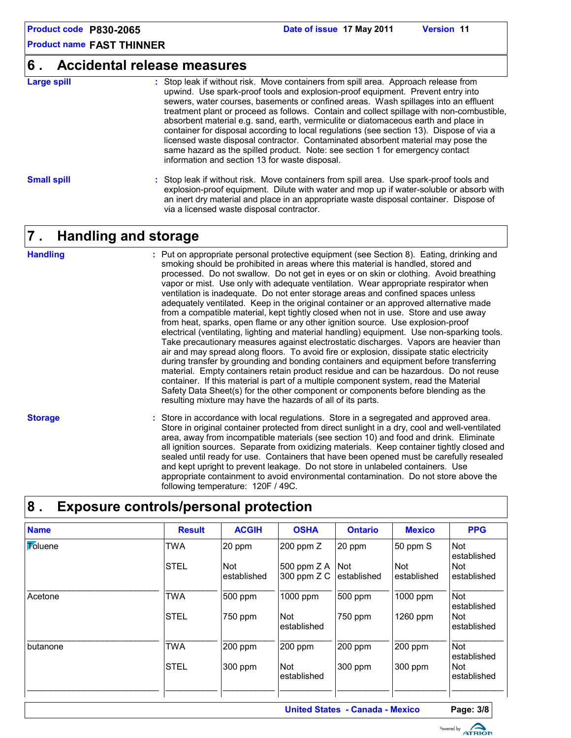### **6 . Accidental release measures**

**Large spill :**

Stop leak if without risk. Move containers from spill area. Approach release from upwind. Use spark-proof tools and explosion-proof equipment. Prevent entry into sewers, water courses, basements or confined areas. Wash spillages into an effluent treatment plant or proceed as follows. Contain and collect spillage with non-combustible, absorbent material e.g. sand, earth, vermiculite or diatomaceous earth and place in container for disposal according to local regulations (see section 13). Dispose of via a licensed waste disposal contractor. Contaminated absorbent material may pose the same hazard as the spilled product. Note: see section 1 for emergency contact information and section 13 for waste disposal.

#### **Small spill :**

Stop leak if without risk. Move containers from spill area. Use spark-proof tools and explosion-proof equipment. Dilute with water and mop up if water-soluble or absorb with an inert dry material and place in an appropriate waste disposal container. Dispose of via a licensed waste disposal contractor.

## **Handling and storage 7 .**

#### **Handling**

Put on appropriate personal protective equipment (see Section 8). Eating, drinking and **:** smoking should be prohibited in areas where this material is handled, stored and processed. Do not swallow. Do not get in eyes or on skin or clothing. Avoid breathing vapor or mist. Use only with adequate ventilation. Wear appropriate respirator when ventilation is inadequate. Do not enter storage areas and confined spaces unless adequately ventilated. Keep in the original container or an approved alternative made from a compatible material, kept tightly closed when not in use. Store and use away from heat, sparks, open flame or any other ignition source. Use explosion-proof electrical (ventilating, lighting and material handling) equipment. Use non-sparking tools. Take precautionary measures against electrostatic discharges. Vapors are heavier than air and may spread along floors. To avoid fire or explosion, dissipate static electricity during transfer by grounding and bonding containers and equipment before transferring material. Empty containers retain product residue and can be hazardous. Do not reuse container. If this material is part of a multiple component system, read the Material Safety Data Sheet(s) for the other component or components before blending as the resulting mixture may have the hazards of all of its parts.

**Storage**

Store in accordance with local regulations. Store in a segregated and approved area. **:** Store in original container protected from direct sunlight in a dry, cool and well-ventilated area, away from incompatible materials (see section 10) and food and drink. Eliminate all ignition sources. Separate from oxidizing materials. Keep container tightly closed and sealed until ready for use. Containers that have been opened must be carefully resealed and kept upright to prevent leakage. Do not store in unlabeled containers. Use appropriate containment to avoid environmental contamination. Do not store above the following temperature: 120F / 49C.

## **8 . Exposure controls/personal protection**

| <b>Result</b> | <b>ACGIH</b>              | <b>OSHA</b>                  | <b>Ontario</b>            | <b>Mexico</b>             | <b>PPG</b>                |
|---------------|---------------------------|------------------------------|---------------------------|---------------------------|---------------------------|
| <b>TWA</b>    | 20 ppm                    | $200$ ppm $Z$                | 20 ppm                    | 50 ppm S                  | <b>Not</b><br>established |
| <b>STEL</b>   | <b>Not</b><br>established | 500 ppm $Z$ A<br>300 ppm Z C | <b>Not</b><br>established | <b>Not</b><br>established | Not<br>established        |
| <b>TWA</b>    | 500 ppm                   | 1000 ppm                     | 500 ppm                   | 1000 ppm                  | <b>Not</b><br>established |
| <b>STEL</b>   | 750 ppm                   | <b>Not</b><br>established    | 750 ppm                   | 1260 ppm                  | <b>Not</b><br>established |
| <b>TWA</b>    | 200 ppm                   | 200 ppm                      | 200 ppm                   | 200 ppm                   | <b>Not</b><br>established |
| <b>STEL</b>   | 300 ppm                   | <b>Not</b><br>established    | 300 ppm                   | 300 ppm                   | <b>Not</b><br>established |
|               |                           |                              |                           |                           |                           |

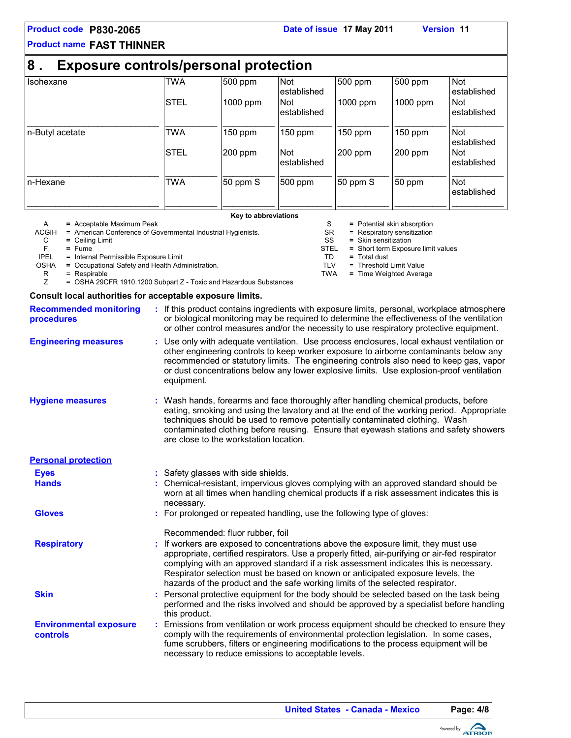#### **Product code P830-2065 Date of issue 17 May 2011 Version 11**

S = Potential skin absorption

STEL **=** Short term Exposure limit values

SR = Respiratory sensitization<br>SS = Skin sensitization SS **=** Skin sensitization

= Threshold Limit Value TWA **=** Time Weighted Average

TD **=** Total dust

### **Product name FAST THINNER**

| <b>Exposure controls/personal protection</b><br>8. |             |          |                           |           |          |                           |
|----------------------------------------------------|-------------|----------|---------------------------|-----------|----------|---------------------------|
| Isohexane                                          | <b>TWA</b>  | 1500 ppm | <b>Not</b><br>established | 500 ppm   | 500 ppm  | <b>Not</b><br>established |
|                                                    | <b>STEL</b> | 1000 ppm | <b>Not</b><br>established | 1000 ppm  | 1000 ppm | Not<br>established        |
| n-Butyl acetate                                    | <b>TWA</b>  | 150 ppm  | $150$ ppm                 | $150$ ppm | 150 ppm  | <b>Not</b><br>established |
|                                                    | <b>STEL</b> | 1200 ppm | <b>Not</b><br>established | 200 ppm   | 200 ppm  | <b>Not</b><br>established |
| n-Hexane                                           | <b>TWA</b>  | 50 ppm S | 500 ppm                   | 50 ppm S  | 50 ppm   | <b>Not</b><br>established |

**Key to abbreviations**

- A **=** Acceptable Maximum Peak ACGIH = American Conference of Governmental Industrial Hygienists.<br>
C = Ceiling Limit<br>
F = Fume
	- C **=** Ceiling Limit
		-

F **=** Fume

IPEL = Internal Permissible Exposure Limit<br>OSHA = Occupational Safety and Health Adm

- 
- $=$  Respirable
- SHA = Occupational Safety and Health Administration.<br>R = Respirable<br>Z = OSHA 29CFR 1910.1200 Subpart Z Toxic and = OSHA 29CFR 1910.1200 Subpart Z - Toxic and Hazardous Substances

#### **Consult local authorities for acceptable exposure limits.**

| <b>Recommended monitoring</b><br><b>procedures</b> | : If this product contains ingredients with exposure limits, personal, workplace atmosphere<br>or biological monitoring may be required to determine the effectiveness of the ventilation<br>or other control measures and/or the necessity to use respiratory protective equipment.                                                                                                                                                               |
|----------------------------------------------------|----------------------------------------------------------------------------------------------------------------------------------------------------------------------------------------------------------------------------------------------------------------------------------------------------------------------------------------------------------------------------------------------------------------------------------------------------|
| <b>Engineering measures</b>                        | : Use only with adequate ventilation. Use process enclosures, local exhaust ventilation or<br>other engineering controls to keep worker exposure to airborne contaminants below any<br>recommended or statutory limits. The engineering controls also need to keep gas, vapor<br>or dust concentrations below any lower explosive limits. Use explosion-proof ventilation<br>equipment.                                                            |
| <b>Hygiene measures</b>                            | : Wash hands, forearms and face thoroughly after handling chemical products, before<br>eating, smoking and using the lavatory and at the end of the working period. Appropriate<br>techniques should be used to remove potentially contaminated clothing. Wash<br>contaminated clothing before reusing. Ensure that eyewash stations and safety showers<br>are close to the workstation location.                                                  |
| <b>Personal protection</b>                         |                                                                                                                                                                                                                                                                                                                                                                                                                                                    |
| <b>Eyes</b>                                        | : Safety glasses with side shields.                                                                                                                                                                                                                                                                                                                                                                                                                |
| <b>Hands</b>                                       | Chemical-resistant, impervious gloves complying with an approved standard should be<br>worn at all times when handling chemical products if a risk assessment indicates this is<br>necessary.                                                                                                                                                                                                                                                      |
| <b>Gloves</b>                                      | : For prolonged or repeated handling, use the following type of gloves:<br>Recommended: fluor rubber, foil                                                                                                                                                                                                                                                                                                                                         |
| <b>Respiratory</b>                                 | : If workers are exposed to concentrations above the exposure limit, they must use<br>appropriate, certified respirators. Use a properly fitted, air-purifying or air-fed respirator<br>complying with an approved standard if a risk assessment indicates this is necessary.<br>Respirator selection must be based on known or anticipated exposure levels, the<br>hazards of the product and the safe working limits of the selected respirator. |
| <b>Skin</b>                                        | : Personal protective equipment for the body should be selected based on the task being<br>performed and the risks involved and should be approved by a specialist before handling<br>this product.                                                                                                                                                                                                                                                |
| <b>Environmental exposure</b><br>controls          | Emissions from ventilation or work process equipment should be checked to ensure they<br>comply with the requirements of environmental protection legislation. In some cases,<br>fume scrubbers, filters or engineering modifications to the process equipment will be<br>necessary to reduce emissions to acceptable levels.                                                                                                                      |

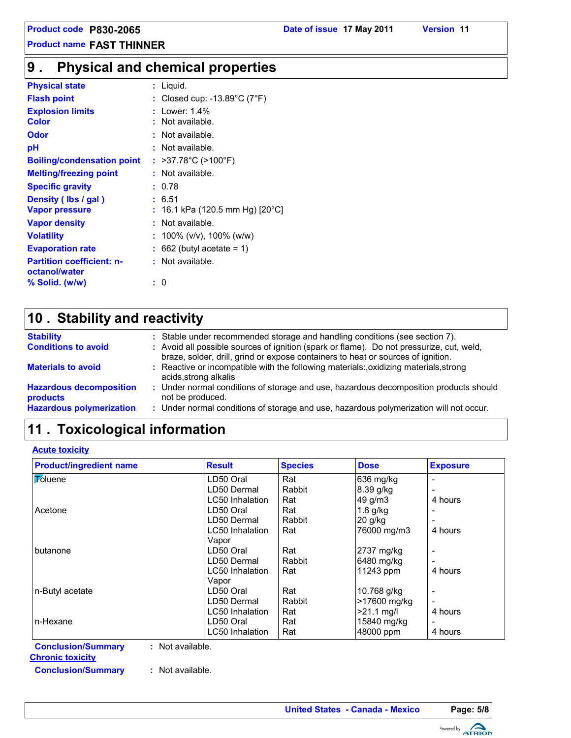## **Physical and chemical properties 9 .**

| <b>Physical state</b>                             | : Liquid.                                          |
|---------------------------------------------------|----------------------------------------------------|
| <b>Flash point</b>                                | : Closed cup: -13.89 $^{\circ}$ C (7 $^{\circ}$ F) |
| <b>Explosion limits</b>                           | Lower: $1.4\%$                                     |
| Color                                             | Not available.                                     |
| Odor                                              | : Not available.                                   |
| рH                                                | : Not available.                                   |
| <b>Boiling/condensation point</b>                 | : >37.78°C (>100°F)                                |
| <b>Melting/freezing point</b>                     | : Not available.                                   |
| <b>Specific gravity</b>                           | : 0.78                                             |
| Density (Ibs / gal)                               | : 6.51                                             |
| <b>Vapor pressure</b>                             | 16.1 kPa (120.5 mm Hg) [20°C]                      |
| <b>Vapor density</b>                              | Not available.                                     |
| <b>Volatility</b>                                 | : 100% (v/v), 100% (w/w)                           |
| <b>Evaporation rate</b>                           | $662$ (butyl acetate = 1)                          |
| <b>Partition coefficient: n-</b><br>octanol/water | : Not available.                                   |
| % Solid. (w/w)                                    | : 0                                                |

## **Stability and reactivity 10 .**

| <b>Stability</b>                                  | : Stable under recommended storage and handling conditions (see section 7).                                                                                                  |
|---------------------------------------------------|------------------------------------------------------------------------------------------------------------------------------------------------------------------------------|
| <b>Conditions to avoid</b>                        | : Avoid all possible sources of ignition (spark or flame). Do not pressurize, cut, weld,<br>braze, solder, drill, grind or expose containers to heat or sources of ignition. |
| <b>Materials to avoid</b>                         | : Reactive or incompatible with the following materials:, oxidizing materials, strong<br>acids, strong alkalis                                                               |
| <b>Hazardous decomposition</b><br><b>products</b> | : Under normal conditions of storage and use, hazardous decomposition products should<br>not be produced.                                                                    |
| <b>Hazardous polymerization</b>                   | : Under normal conditions of storage and use, hazardous polymerization will not occur.                                                                                       |

## **11 . Toxicological information**

| <b>Product/ingredient name</b>                | <b>Result</b>   | <b>Species</b> | <b>Dose</b>  | <b>Exposure</b>          |
|-----------------------------------------------|-----------------|----------------|--------------|--------------------------|
| <b>Foluene</b>                                | LD50 Oral       | Rat            | 636 mg/kg    |                          |
|                                               | LD50 Dermal     | Rabbit         | 8.39 g/kg    |                          |
|                                               | LC50 Inhalation | Rat            | 49 g/m3      | 4 hours                  |
| Acetone                                       | LD50 Oral       | Rat            | $1.8$ g/kg   | $\overline{\phantom{0}}$ |
|                                               | LD50 Dermal     | Rabbit         | 20 g/kg      |                          |
|                                               | LC50 Inhalation | Rat            | 76000 mg/m3  | 4 hours                  |
|                                               | Vapor           |                |              |                          |
| butanone                                      | LD50 Oral       | Rat            | 2737 mg/kg   | $\overline{\phantom{a}}$ |
|                                               | LD50 Dermal     | Rabbit         | 6480 mg/kg   | -                        |
|                                               | LC50 Inhalation | Rat            | 11243 ppm    | 4 hours                  |
|                                               | Vapor           |                |              |                          |
| n-Butyl acetate                               | LD50 Oral       | Rat            | 10.768 g/kg  |                          |
|                                               | LD50 Dermal     | Rabbit         | >17600 mg/kg |                          |
|                                               | LC50 Inhalation | Rat            | $>21.1$ mg/l | 4 hours                  |
| n-Hexane                                      | LD50 Oral       | Rat            | 15840 mg/kg  | $\overline{\phantom{0}}$ |
|                                               | LC50 Inhalation | Rat            | 48000 ppm    | 4 hours                  |
| <b>Conclusion/Summary</b><br>: Not available. |                 |                |              |                          |

**Chronic toxicity**

**Conclusion/Summary :** Not available.

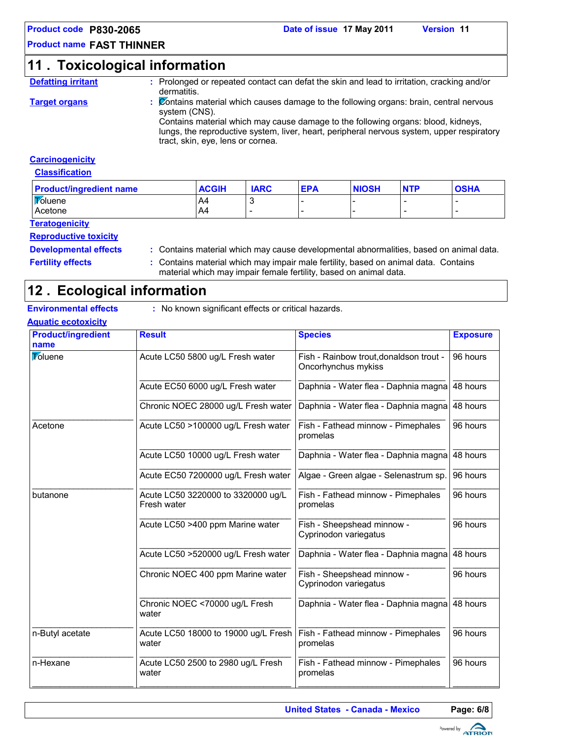#### **Product code P830-2065 Date of issue 17 May 2011 Version 11**

### **Product name FAST THINNER**

## **11 . Toxicological information**

- **Defatting irritant :** Prolonged or repeated contact can defat the skin and lead to irritation, cracking and/or dermatitis.
- **Target organs :** Contains material which causes damage to the following organs: brain, central nervous system (CNS).

Contains material which may cause damage to the following organs: blood, kidneys, lungs, the reproductive system, liver, heart, peripheral nervous system, upper respiratory tract, skin, eye, lens or cornea.

#### **Carcinogenicity**

**Classification**

| <b>Product/ingredient name</b>                    | ACGIH | <b>IARC</b> | <b>EPA</b> | <b>NIOSH</b> | <b>NTP</b> | <b>OSHA</b> |
|---------------------------------------------------|-------|-------------|------------|--------------|------------|-------------|
| <b>Toluene</b>                                    | A4    |             |            |              |            |             |
| Acetone                                           | A4    |             |            |              |            |             |
| <b>Participants of the control of the control</b> |       |             |            |              |            |             |

#### **Teratogenicity**

#### **Reproductive toxicity**

- **Developmental effects :** Contains material which may cause developmental abnormalities, based on animal data.
- **Fertility effects** : Contains material which may impair male fertility, based on animal data. Contains material which may impair female fertility, based on animal data.

## **Ecological information 12 .**

**Environmental effects** : No known significant effects or critical hazards.

| <b>Product/ingredient</b><br>name | <b>Result</b>                                     | <b>Species</b>                                                 | <b>Exposure</b> |
|-----------------------------------|---------------------------------------------------|----------------------------------------------------------------|-----------------|
| <b>Toluene</b>                    | Acute LC50 5800 ug/L Fresh water                  | Fish - Rainbow trout, donaldson trout -<br>Oncorhynchus mykiss | 96 hours        |
|                                   | Acute EC50 6000 ug/L Fresh water                  | Daphnia - Water flea - Daphnia magna                           | 48 hours        |
|                                   | Chronic NOEC 28000 ug/L Fresh water               | Daphnia - Water flea - Daphnia magna                           | 48 hours        |
| Acetone                           | Acute LC50 >100000 ug/L Fresh water               | Fish - Fathead minnow - Pimephales<br>promelas                 | 96 hours        |
|                                   | Acute LC50 10000 ug/L Fresh water                 | Daphnia - Water flea - Daphnia magna                           | 48 hours        |
|                                   | Acute EC50 7200000 ug/L Fresh water               | Algae - Green algae - Selenastrum sp.                          | 96 hours        |
| butanone                          | Acute LC50 3220000 to 3320000 ug/L<br>Fresh water | Fish - Fathead minnow - Pimephales<br>promelas                 | 96 hours        |
|                                   | Acute LC50 >400 ppm Marine water                  | Fish - Sheepshead minnow -<br>Cyprinodon variegatus            | 96 hours        |
|                                   | Acute LC50 >520000 ug/L Fresh water               | Daphnia - Water flea - Daphnia magna                           | 48 hours        |
|                                   | Chronic NOEC 400 ppm Marine water                 | Fish - Sheepshead minnow -<br>Cyprinodon variegatus            | 96 hours        |
|                                   | Chronic NOEC <70000 ug/L Fresh<br>water           | Daphnia - Water flea - Daphnia magna                           | 48 hours        |
| n-Butyl acetate                   | Acute LC50 18000 to 19000 ug/L Fresh<br>water     | Fish - Fathead minnow - Pimephales<br>promelas                 | 96 hours        |
| n-Hexane                          | Acute LC50 2500 to 2980 ug/L Fresh<br>water       | Fish - Fathead minnow - Pimephales<br>promelas                 | 96 hours        |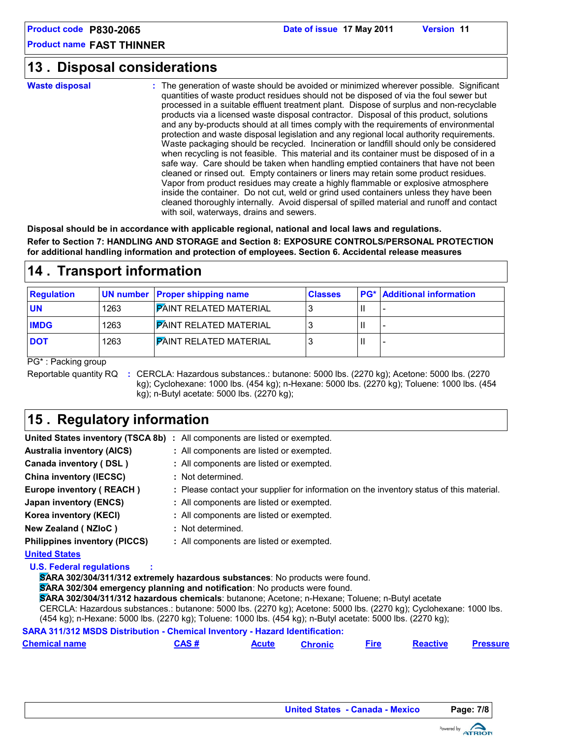## **Disposal considerations 13 .**

**Waste disposal**

The generation of waste should be avoided or minimized wherever possible. Significant **:** quantities of waste product residues should not be disposed of via the foul sewer but processed in a suitable effluent treatment plant. Dispose of surplus and non-recyclable products via a licensed waste disposal contractor. Disposal of this product, solutions and any by-products should at all times comply with the requirements of environmental protection and waste disposal legislation and any regional local authority requirements. Waste packaging should be recycled. Incineration or landfill should only be considered when recycling is not feasible. This material and its container must be disposed of in a safe way. Care should be taken when handling emptied containers that have not been cleaned or rinsed out. Empty containers or liners may retain some product residues. Vapor from product residues may create a highly flammable or explosive atmosphere inside the container. Do not cut, weld or grind used containers unless they have been cleaned thoroughly internally. Avoid dispersal of spilled material and runoff and contact with soil, waterways, drains and sewers.

**Disposal should be in accordance with applicable regional, national and local laws and regulations. Refer to Section 7: HANDLING AND STORAGE and Section 8: EXPOSURE CONTROLS/PERSONAL PROTECTION for additional handling information and protection of employees. Section 6. Accidental release measures**

## **14 . Transport information**

|      | <b>Classes</b>                                                                                                                    | <b>PG*</b> Additional information |
|------|-----------------------------------------------------------------------------------------------------------------------------------|-----------------------------------|
| 1263 |                                                                                                                                   |                                   |
| 1263 |                                                                                                                                   |                                   |
| 1263 |                                                                                                                                   |                                   |
|      | UN number Proper shipping name<br><b>PAINT RELATED MATERIAL</b><br><b>PAINT RELATED MATERIAL</b><br><b>PAINT RELATED MATERIAL</b> |                                   |

PG\* : Packing group

Reportable quantity RQ : CERCLA: Hazardous substances.: butanone: 5000 lbs. (2270 kg); Acetone: 5000 lbs. (2270 kg); Cyclohexane: 1000 lbs. (454 kg); n-Hexane: 5000 lbs. (2270 kg); Toluene: 1000 lbs. (454 kg); n-Butyl acetate: 5000 lbs. (2270 kg);

## **15 . Regulatory information**

|                                      | United States inventory (TSCA 8b) : All components are listed or exempted.               |
|--------------------------------------|------------------------------------------------------------------------------------------|
| <b>Australia inventory (AICS)</b>    | : All components are listed or exempted.                                                 |
| Canada inventory (DSL)               | : All components are listed or exempted.                                                 |
| <b>China inventory (IECSC)</b>       | : Not determined.                                                                        |
| Europe inventory (REACH)             | : Please contact your supplier for information on the inventory status of this material. |
| Japan inventory (ENCS)               | : All components are listed or exempted.                                                 |
| Korea inventory (KECI)               | : All components are listed or exempted.                                                 |
| New Zealand (NZIoC)                  | : Not determined.                                                                        |
| <b>Philippines inventory (PICCS)</b> | : All components are listed or exempted.                                                 |
| <b>United States</b>                 |                                                                                          |
| <b>U.S. Federal regulations</b>      | SARA 302/304/311/312 extremely hazardous substances: No products were found.             |

**SARA 302/304 emergency planning and notification**: No products were found.

**SARA 302/304/311/312 hazardous chemicals**: butanone; Acetone; n-Hexane; Toluene; n-Butyl acetate

CERCLA: Hazardous substances.: butanone: 5000 lbs. (2270 kg); Acetone: 5000 lbs. (2270 kg); Cyclohexane: 1000 lbs. (454 kg); n-Hexane: 5000 lbs. (2270 kg); Toluene: 1000 lbs. (454 kg); n-Butyl acetate: 5000 lbs. (2270 kg);

**SARA 311/312 MSDS Distribution - Chemical Inventory - Hazard Identification:**

| <b>Chemical name</b> | <b>CAS#</b> | Acute | <b>Chronic</b> |  | <b>Reactive</b> | <b>Pressure</b> |  |
|----------------------|-------------|-------|----------------|--|-----------------|-----------------|--|
|----------------------|-------------|-------|----------------|--|-----------------|-----------------|--|